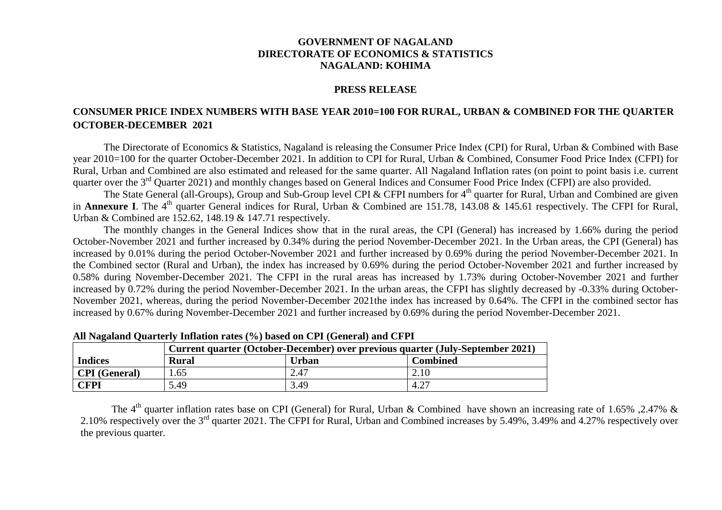## **GOVERNMENT OF NAGALAND DIRECTORATE OF ECONOMICS & STATISTICS NAGALAND: KOHIMA**

## **PRESS RELEASE**

## **CONSUMER PRICE INDEX NUMBERS WITH BASE YEAR 2010=100 FOR RURAL, URBAN & COMBINED FOR THE QUARTER OCTOBER-DECEMBER 2021**

The Directorate of Economics & Statistics, Nagaland is releasing the Consumer Price Index (CPI) for Rural, Urban & Combined with Base year 2010=100 for the quarter October-December 2021. In addition to CPI for Rural, Urban & Combined, Consumer Food Price Index (CFPI) for Rural, Urban and Combined are also estimated and released for the same quarter. All Nagaland Inflation rates (on point to point basis i.e. current quarter over the 3rd Quarter 2021) and monthly changes based on General Indices and Consumer Food Price Index (CFPI) are also provided.

The State General (all-Groups), Group and Sub-Group level CPI & CFPI numbers for 4<sup>th</sup> quarter for Rural, Urban and Combined are given in **Annexure I**. The 4<sup>th</sup> quarter General indices for Rural, Urban & Combined are 151.78, 143.08 & 145.61 respectively. The CFPI for Rural, Urban & Combined are 152.62, 148.19 & 147.71 respectively.

The monthly changes in the General Indices show that in the rural areas, the CPI (General) has increased by 1.66% during the period October-November 2021 and further increased by 0.34% during the period November-December 2021. In the Urban areas, the CPI (General) has increased by 0.01% during the period October-November 2021 and further increased by 0.69% during the period November-December 2021. In the Combined sector (Rural and Urban), the index has increased by 0.69% during the period October-November 2021 and further increased by 0.58% during November-December 2021. The CFPI in the rural areas has increased by 1.73% during October-November 2021 and further increased by 0.72% during the period November-December 2021. In the urban areas, the CFPI has slightly decreased by -0.33% during October-November 2021, whereas, during the period November-December 2021the index has increased by 0.64%. The CFPI in the combined sector has increased by 0.67% during November-December 2021 and further increased by 0.69% during the period November-December 2021.

|                      | Current quarter (October-December) over previous quarter (July-September 2021) |              |                 |  |  |  |  |  |  |  |  |
|----------------------|--------------------------------------------------------------------------------|--------------|-----------------|--|--|--|--|--|--|--|--|
| <b>Indices</b>       | <b>Rural</b>                                                                   | <b>Urban</b> | <b>Combined</b> |  |  |  |  |  |  |  |  |
| <b>CPI</b> (General) | 1.65                                                                           | 2.47         | 2.10            |  |  |  |  |  |  |  |  |
| CFPI                 | 5.49                                                                           | 3.49         | 4.27            |  |  |  |  |  |  |  |  |

**All Nagaland Quarterly Inflation rates (%) based on CPI (General) and CFPI**

The 4<sup>th</sup> quarter inflation rates base on CPI (General) for Rural, Urban & Combined have shown an increasing rate of 1.65% ,2.47% & 2.10% respectively over the 3<sup>rd</sup> quarter 2021. The CFPI for Rural, Urban and Combined increases by 5.49%, 3.49% and 4.27% respectively over the previous quarter.